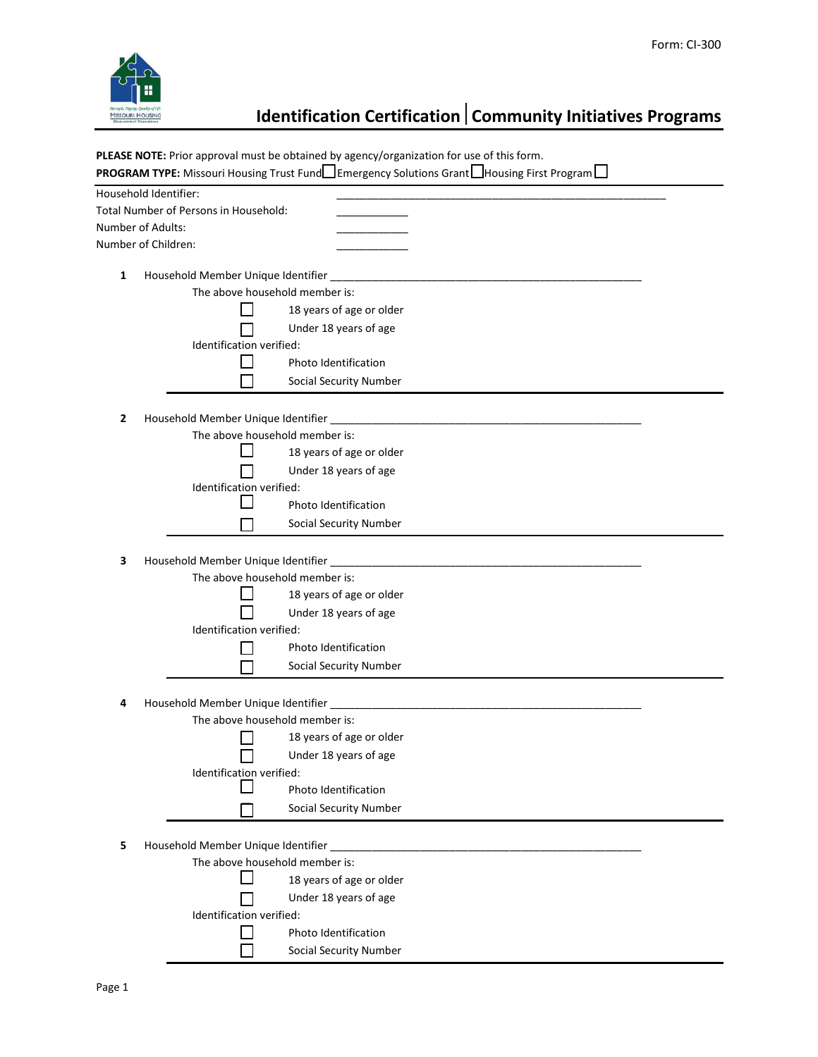

## **Identification Certification** | Community Initiatives Programs

**PLEASE NOTE:** Prior approval must be obtained by agency/organization for use of this form.

|                                                                           | PROGRAM TYPE: Missouri Housing Trust Fund□ Emergency Solutions Grant□ Housing First Program□                                                                                                 |  |  |  |
|---------------------------------------------------------------------------|----------------------------------------------------------------------------------------------------------------------------------------------------------------------------------------------|--|--|--|
|                                                                           | Household Identifier:                                                                                                                                                                        |  |  |  |
|                                                                           | Total Number of Persons in Household:                                                                                                                                                        |  |  |  |
|                                                                           | Number of Adults:                                                                                                                                                                            |  |  |  |
|                                                                           | Number of Children:                                                                                                                                                                          |  |  |  |
|                                                                           | 1                                                                                                                                                                                            |  |  |  |
|                                                                           |                                                                                                                                                                                              |  |  |  |
|                                                                           | 18 years of age or older                                                                                                                                                                     |  |  |  |
|                                                                           | Under 18 years of age                                                                                                                                                                        |  |  |  |
|                                                                           | Identification verified:                                                                                                                                                                     |  |  |  |
|                                                                           | Photo Identification                                                                                                                                                                         |  |  |  |
|                                                                           | <b>Social Security Number</b>                                                                                                                                                                |  |  |  |
|                                                                           |                                                                                                                                                                                              |  |  |  |
| 2                                                                         | Household Member Unique Identifier<br><u> 2000 - Jan James James Jan James James James James James James James James James James James James James Jam</u><br>The above household member is: |  |  |  |
|                                                                           | 18 years of age or older                                                                                                                                                                     |  |  |  |
|                                                                           |                                                                                                                                                                                              |  |  |  |
|                                                                           | Under 18 years of age<br>Identification verified:                                                                                                                                            |  |  |  |
|                                                                           | Photo Identification                                                                                                                                                                         |  |  |  |
|                                                                           | <b>Social Security Number</b>                                                                                                                                                                |  |  |  |
|                                                                           |                                                                                                                                                                                              |  |  |  |
| 3                                                                         |                                                                                                                                                                                              |  |  |  |
|                                                                           | The above household member is:                                                                                                                                                               |  |  |  |
|                                                                           | 18 years of age or older                                                                                                                                                                     |  |  |  |
|                                                                           | Under 18 years of age                                                                                                                                                                        |  |  |  |
|                                                                           | Identification verified:                                                                                                                                                                     |  |  |  |
|                                                                           | Photo Identification                                                                                                                                                                         |  |  |  |
|                                                                           | Social Security Number                                                                                                                                                                       |  |  |  |
|                                                                           |                                                                                                                                                                                              |  |  |  |
| 4                                                                         |                                                                                                                                                                                              |  |  |  |
|                                                                           | The above household member is:                                                                                                                                                               |  |  |  |
|                                                                           | 18 years of age or older                                                                                                                                                                     |  |  |  |
|                                                                           | Under 18 years of age                                                                                                                                                                        |  |  |  |
| Identification verified:                                                  |                                                                                                                                                                                              |  |  |  |
|                                                                           | Photo Identification                                                                                                                                                                         |  |  |  |
|                                                                           | <b>Social Security Number</b>                                                                                                                                                                |  |  |  |
|                                                                           |                                                                                                                                                                                              |  |  |  |
| Household Member Unique Identifier<br>5<br>The above household member is: |                                                                                                                                                                                              |  |  |  |
|                                                                           | 18 years of age or older                                                                                                                                                                     |  |  |  |
|                                                                           | Under 18 years of age                                                                                                                                                                        |  |  |  |
|                                                                           | Identification verified:                                                                                                                                                                     |  |  |  |
|                                                                           | Photo Identification                                                                                                                                                                         |  |  |  |
|                                                                           | <b>Social Security Number</b>                                                                                                                                                                |  |  |  |
|                                                                           |                                                                                                                                                                                              |  |  |  |